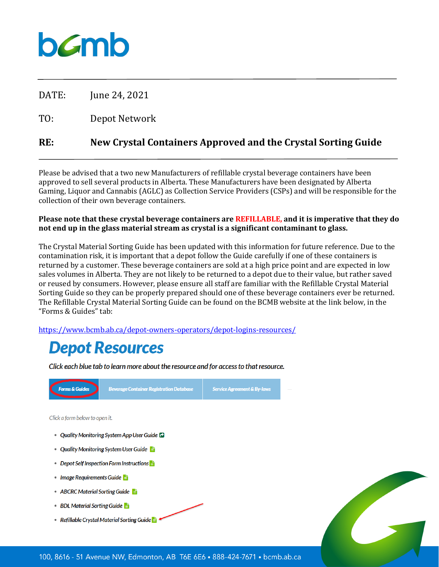# bamb

DATE: June 24, 2021

TO: Depot Network

## **RE: New Crystal Containers Approved and the Crystal Sorting Guide**

Please be advised that a two new Manufacturers of refillable crystal beverage containers have been approved to sell several products in Alberta. These Manufacturers have been designated by Alberta Gaming, Liquor and Cannabis (AGLC) as Collection Service Providers (CSPs) and will be responsible for the collection of their own beverage containers.

#### **Please note that these crystal beverage containers are REFILLABLE, and it is imperative that they do not end up in the glass material stream as crystal is a significant contaminant to glass.**

The Crystal Material Sorting Guide has been updated with this information for future reference. Due to the contamination risk, it is important that a depot follow the Guide carefully if one of these containers is returned by a customer. These beverage containers are sold at a high price point and are expected in low sales volumes in Alberta. They are not likely to be returned to a depot due to their value, but rather saved or reused by consumers. However, please ensure all staff are familiar with the Refillable Crystal Material Sorting Guide so they can be properly prepared should one of these beverage containers ever be returned. The Refillable Crystal Material Sorting Guide can be found on the BCMB website at the link below, in the "Forms & Guides" tab:

<https://www.bcmb.ab.ca/depot-owners-operators/depot-logins-resources/>

## **Depot Resources**

Click each blue tab to learn more about the resource and for access to that resource.

| <b>Forms &amp; Guides</b>                             | <b>Beverage Container Registration Database</b> | <b>Service Agreement &amp; By-laws</b> |  |  |  |
|-------------------------------------------------------|-------------------------------------------------|----------------------------------------|--|--|--|
| Click a form below to open it.                        |                                                 |                                        |  |  |  |
| $\qquad \qquad \bullet$                               | Quality Monitoring System App User Guide        |                                        |  |  |  |
| Quality Monitoring System User Guide                  |                                                 |                                        |  |  |  |
| Depot Self Inspection Form Instructions $\frac{1}{n}$ |                                                 |                                        |  |  |  |
| Image Requirements Guide                              |                                                 |                                        |  |  |  |
| ABCRC Material Sorting Guide                          |                                                 |                                        |  |  |  |
| <b>BDL Material Sorting Guide</b>                     |                                                 |                                        |  |  |  |
| Refillable Crystal Material Sorting Guide             |                                                 |                                        |  |  |  |
|                                                       |                                                 |                                        |  |  |  |
|                                                       |                                                 |                                        |  |  |  |

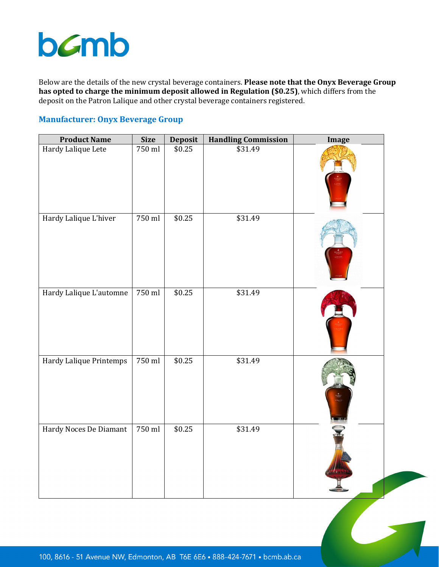# bamb

Below are the details of the new crystal beverage containers. **Please note that the Onyx Beverage Group has opted to charge the minimum deposit allowed in Regulation (\$0.25)**, which differs from the deposit on the Patron Lalique and other crystal beverage containers registered.

## **Manufacturer: Onyx Beverage Group**

| <b>Product Name</b>     | <b>Size</b> | Deposit<br>\$0.25 | <b>Handling Commission</b> | <b>Image</b> |
|-------------------------|-------------|-------------------|----------------------------|--------------|
| Hardy Lalique Lete      | 750 ml      |                   | \$31.49                    |              |
| Hardy Lalique L'hiver   | 750 ml      | \$0.25            | \$31.49                    |              |
| Hardy Lalique L'automne | 750 ml      | \$0.25            | \$31.49                    |              |
| Hardy Lalique Printemps | 750 ml      | \$0.25            | \$31.49                    |              |
| Hardy Noces De Diamant  | 750 ml      | \$0.25            | \$31.49                    |              |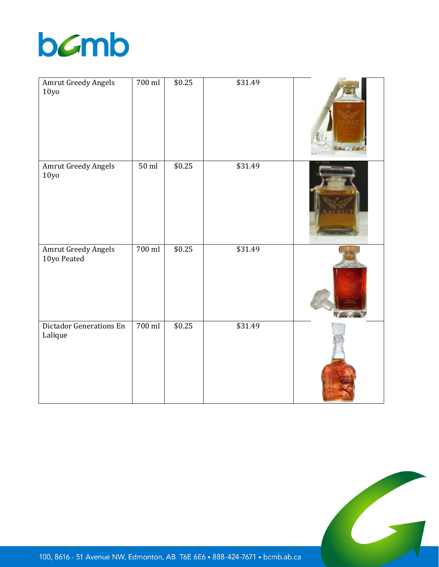

| <b>Amrut Greedy Angels</b><br>10y <sub>0</sub> | 700 ml  | \$0.25 | \$31.49 |  |
|------------------------------------------------|---------|--------|---------|--|
| Amrut Greedy Angels<br>10y <sub>0</sub>        | $50$ ml | \$0.25 | \$31.49 |  |
| <b>Amrut Greedy Angels</b><br>10yo Peated      | 700 ml  | \$0.25 | \$31.49 |  |
| Dictador Generations En<br>Lalique             | 700 ml  | \$0.25 | \$31.49 |  |



100, 8616 - 51 Avenue NW, Edmonton, AB T6E 6E6 . 888-424-7671 . bcmb.ab.ca